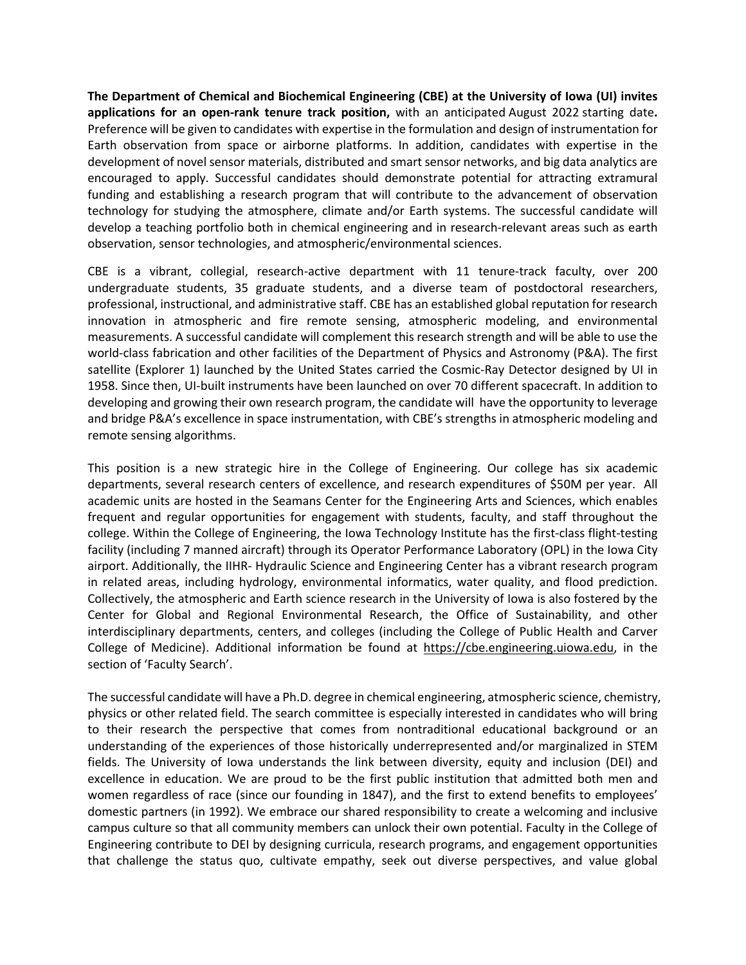**The Department of Chemical and Biochemical Engineering (CBE) at the University of Iowa (UI) invites applications for an open-rank tenure track position,** with an anticipated August 2022 starting date**.** Preference will be given to candidates with expertise in the formulation and design of instrumentation for Earth observation from space or airborne platforms. In addition, candidates with expertise in the development of novel sensor materials, distributed and smart sensor networks, and big data analytics are encouraged to apply. Successful candidates should demonstrate potential for attracting extramural funding and establishing a research program that will contribute to the advancement of observation technology for studying the atmosphere, climate and/or Earth systems. The successful candidate will develop a teaching portfolio both in chemical engineering and in research-relevant areas such as earth observation, sensor technologies, and atmospheric/environmental sciences.

CBE is a vibrant, collegial, research-active department with 11 tenure-track faculty, over 200 undergraduate students, 35 graduate students, and a diverse team of postdoctoral researchers, professional, instructional, and administrative staff. CBE has an established global reputation for research innovation in atmospheric and fire remote sensing, atmospheric modeling, and environmental measurements. A successful candidate will complement this research strength and will be able to use the world-class fabrication and other facilities of the Department of Physics and Astronomy (P&A). The first satellite (Explorer 1) launched by the United States carried the Cosmic-Ray Detector designed by UI in 1958. Since then, UI-built instruments have been launched on over 70 different spacecraft. In addition to developing and growing their own research program, the candidate will have the opportunity to leverage and bridge P&A's excellence in space instrumentation, with CBE's strengths in atmospheric modeling and remote sensing algorithms.

This position is a new strategic hire in the College of Engineering. Our college has six academic departments, several research centers of excellence, and research expenditures of \$50M per year. All academic units are hosted in the Seamans Center for the Engineering Arts and Sciences, which enables frequent and regular opportunities for engagement with students, faculty, and staff throughout the college. Within the College of Engineering, the Iowa Technology Institute has the first-class flight-testing facility (including 7 manned aircraft) through its Operator Performance Laboratory (OPL) in the Iowa City airport. Additionally, the IIHR- Hydraulic Science and Engineering Center has a vibrant research program in related areas, including hydrology, environmental informatics, water quality, and flood prediction. Collectively, the atmospheric and Earth science research in the University of Iowa is also fostered by the Center for Global and Regional Environmental Research, the Office of Sustainability, and other interdisciplinary departments, centers, and colleges (including the College of Public Health and Carver College of Medicine). Additional information be found at https://cbe.engineering.uiowa.edu, in the section of 'Faculty Search'.

The successful candidate will have a Ph.D. degree in chemical engineering, atmospheric science, chemistry, physics or other related field. The search committee is especially interested in candidates who will bring to their research the perspective that comes from nontraditional educational background or an understanding of the experiences of those historically underrepresented and/or marginalized in STEM fields. The University of Iowa understands the link between diversity, equity and inclusion (DEI) and excellence in education. We are proud to be the first public institution that admitted both men and women regardless of race (since our founding in 1847), and the first to extend benefits to employees' domestic partners (in 1992). We embrace our shared responsibility to create a welcoming and inclusive campus culture so that all community members can unlock their own potential. Faculty in the College of Engineering contribute to DEI by designing curricula, research programs, and engagement opportunities that challenge the status quo, cultivate empathy, seek out diverse perspectives, and value global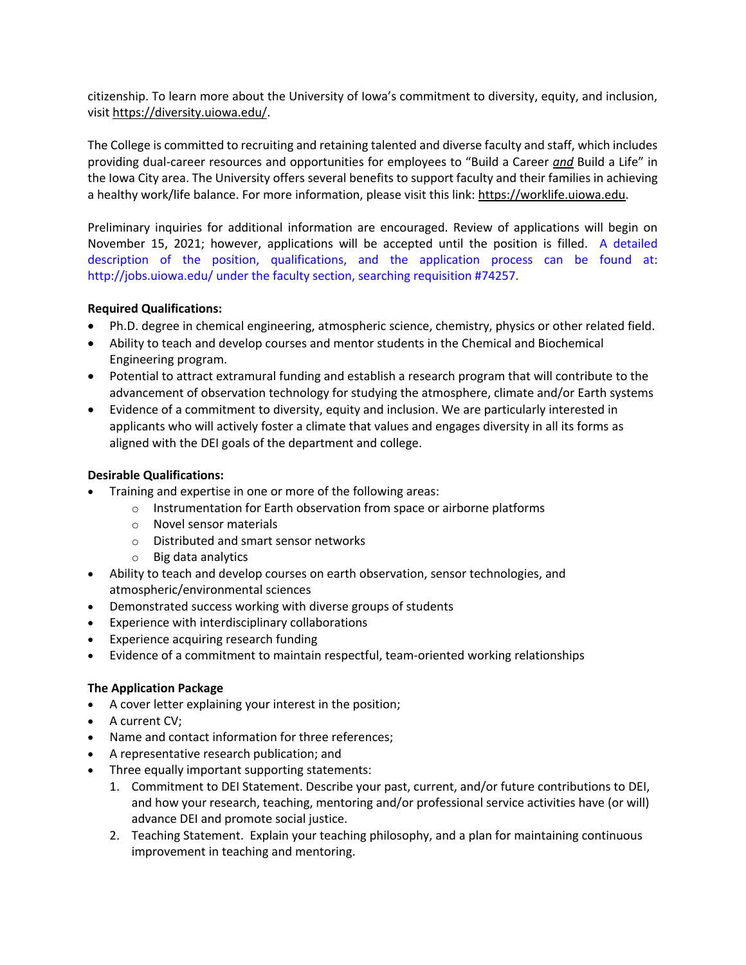citizenship. To learn more about the University of Iowa's commitment to diversity, equity, and inclusion, visit https://diversity.uiowa.edu/.

The College is committed to recruiting and retaining talented and diverse faculty and staff, which includes providing dual-career resources and opportunities for employees to "Build a Career *and* Build a Life" in the Iowa City area. The University offers several benefits to support faculty and their families in achieving a healthy work/life balance. For more information, please visit this link: https://worklife.uiowa.edu.

Preliminary inquiries for additional information are encouraged. Review of applications will begin on November 15, 2021; however, applications will be accepted until the position is filled. A detailed description of the position, qualifications, and the application process can be found at: http://jobs.uiowa.edu/ under the faculty section, searching requisition #74257.

## **Required Qualifications:**

- Ph.D. degree in chemical engineering, atmospheric science, chemistry, physics or other related field.
- Ability to teach and develop courses and mentor students in the Chemical and Biochemical Engineering program.
- Potential to attract extramural funding and establish a research program that will contribute to the advancement of observation technology for studying the atmosphere, climate and/or Earth systems
- Evidence of a commitment to diversity, equity and inclusion. We are particularly interested in applicants who will actively foster a climate that values and engages diversity in all its forms as aligned with the DEI goals of the department and college.

## **Desirable Qualifications:**

- Training and expertise in one or more of the following areas:
	- o Instrumentation for Earth observation from space or airborne platforms
	- o Novel sensor materials
	- o Distributed and smart sensor networks
	- o Big data analytics
- Ability to teach and develop courses on earth observation, sensor technologies, and atmospheric/environmental sciences
- Demonstrated success working with diverse groups of students
- Experience with interdisciplinary collaborations
- Experience acquiring research funding
- Evidence of a commitment to maintain respectful, team-oriented working relationships

## **The Application Package**

- A cover letter explaining your interest in the position;
- A current CV;
- Name and contact information for three references;
- A representative research publication; and
- Three equally important supporting statements:
	- 1. Commitment to DEI Statement. Describe your past, current, and/or future contributions to DEI, and how your research, teaching, mentoring and/or professional service activities have (or will) advance DEI and promote social justice.
	- 2. Teaching Statement. Explain your teaching philosophy, and a plan for maintaining continuous improvement in teaching and mentoring.